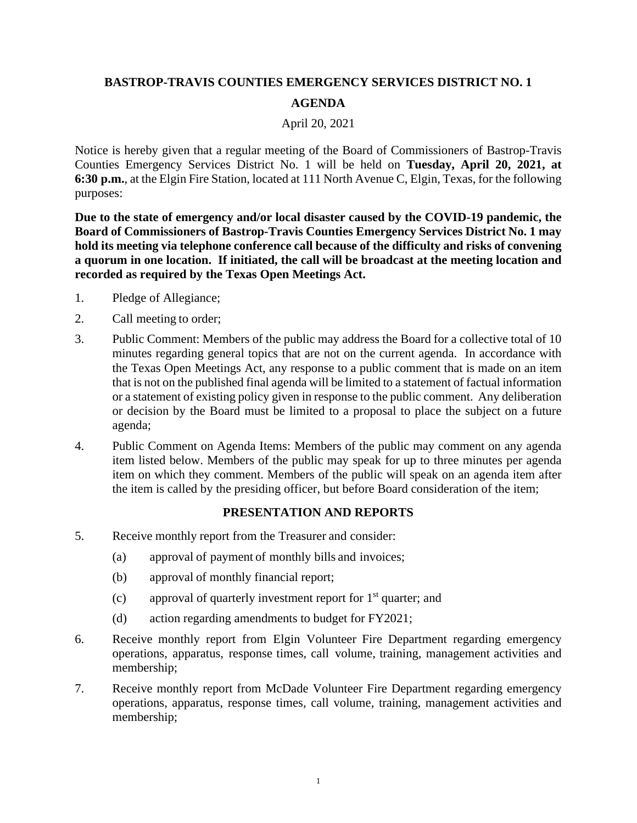## **BASTROP-TRAVIS COUNTIES EMERGENCY SERVICES DISTRICT NO. 1 AGENDA**

## April 20, 2021

Notice is hereby given that a regular meeting of the Board of Commissioners of Bastrop-Travis Counties Emergency Services District No. 1 will be held on **Tuesday, April 20, 2021, at 6:30 p.m.**, at the Elgin Fire Station, located at 111 North Avenue C, Elgin, Texas, for the following purposes:

**Due to the state of emergency and/or local disaster caused by the COVID-19 pandemic, the Board of Commissioners of Bastrop-Travis Counties Emergency Services District No. 1 may hold its meeting via telephone conference call because of the difficulty and risks of convening a quorum in one location. If initiated, the call will be broadcast at the meeting location and recorded as required by the Texas Open Meetings Act.**

- 1. Pledge of Allegiance;
- 2. Call meeting to order;
- 3. Public Comment: Members of the public may address the Board for a collective total of 10 minutes regarding general topics that are not on the current agenda. In accordance with the Texas Open Meetings Act, any response to a public comment that is made on an item that is not on the published final agenda will be limited to a statement of factual information or a statement of existing policy given in response to the public comment. Any deliberation or decision by the Board must be limited to a proposal to place the subject on a future agenda;
- 4. Public Comment on Agenda Items: Members of the public may comment on any agenda item listed below. Members of the public may speak for up to three minutes per agenda item on which they comment. Members of the public will speak on an agenda item after the item is called by the presiding officer, but before Board consideration of the item;

## **PRESENTATION AND REPORTS**

- 5. Receive monthly report from the Treasurer and consider:
	- (a) approval of payment of monthly bills and invoices;
	- (b) approval of monthly financial report;
	- (c) approval of quarterly investment report for  $1<sup>st</sup>$  quarter; and
	- (d) action regarding amendments to budget for FY2021;
- 6. Receive monthly report from Elgin Volunteer Fire Department regarding emergency operations, apparatus, response times, call volume, training, management activities and membership;
- 7. Receive monthly report from McDade Volunteer Fire Department regarding emergency operations, apparatus, response times, call volume, training, management activities and membership;